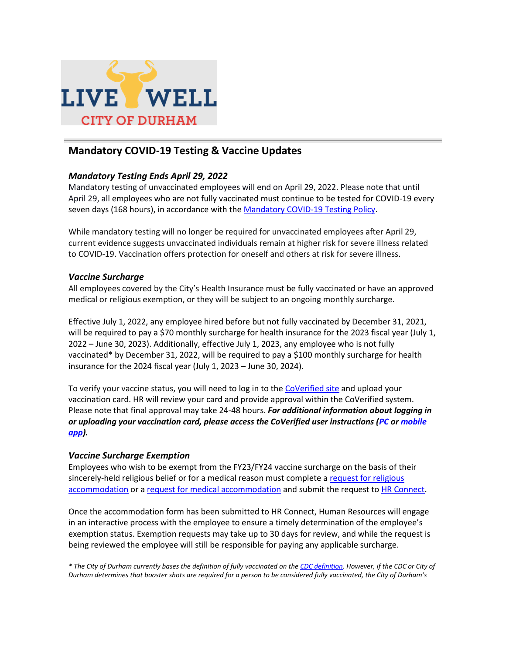

## **Mandatory COVID-19 Testing & Vaccine Updates**

## *Mandatory Testing Ends April 29, 2022*

Mandatory testing of unvaccinated employees will end on April 29, 2022. Please note that until April 29, all employees who are not fully vaccinated must continue to be tested for COVID-19 every seven days (168 hours), in accordance with the [Mandatory COVID-19 Testing Policy.](https://www.durhamnc.gov/DocumentCenter/View/41072/COVID-Testing-Policy?bidId=)

While mandatory testing will no longer be required for unvaccinated employees after April 29, current evidence suggests unvaccinated individuals remain at higher risk for severe illness related to COVID-19. Vaccination offers protection for oneself and others at risk for severe illness.

## *Vaccine Surcharge*

All employees covered by the City's Health Insurance must be fully vaccinated or have an approved medical or religious exemption, or they will be subject to an ongoing monthly surcharge.

Effective July 1, 2022, any employee hired before but not fully vaccinated by December 31, 2021, will be required to pay a \$70 monthly surcharge for health insurance for the 2023 fiscal year (July 1, 2022 – June 30, 2023). Additionally, effective July 1, 2023, any employee who is not fully vaccinated\* by December 31, 2022, will be required to pay a \$100 monthly surcharge for health insurance for the 2024 fiscal year (July 1, 2023 – June 30, 2024).

To verify your vaccine status, you will need to log in to the [CoVerified site](https://campus.coverified.us/login) and upload your vaccination card. HR will review your card and provide approval within the CoVerified system. Please note that final approval may take 24-48 hours. *For additional information about logging in or uploading your vaccination card, please access the CoVerified user instructions [\(PC](https://www.durhamnc.gov/DocumentCenter/View/41502/CoVerified-PC-Login-Instructions-PDF?bidId=) or [mobile](https://www.durhamnc.gov/DocumentCenter/View/41503/CoVerfied-App-Login-Instructions-PDF?bidId=)  [app\)](https://www.durhamnc.gov/DocumentCenter/View/41503/CoVerfied-App-Login-Instructions-PDF?bidId=).*

## *Vaccine Surcharge Exemption*

Employees who wish to be exempt from the FY23/FY24 vaccine surcharge on the basis of their sincerely-held religious belief or for a medical reason must complete a [request for religious](https://www.durhamnc.gov/DocumentCenter/View/41070/Request-for-Religious-Exemption-from-COVID-19-Vaccination-Surcharge?bidId=)  accommodation or a [request for medical accommodation](https://www.durhamnc.gov/DocumentCenter/View/41071/Request-for-Medical-Exemption-from-COVID-19-Vaccination-Surcharge?bidId=) and submit the request t[o HR Connect.](mailto:HRConnect@DurhamNC.gov)

Once the accommodation form has been submitted to HR Connect, Human Resources will engage in an interactive process with the employee to ensure a timely determination of the employee's exemption status. Exemption requests may take up to 30 days for review, and while the request is being reviewed the employee will still be responsible for paying any applicable surcharge.

*\* The City of Durham currently bases the definition of fully vaccinated on th[e CDC definition.](https://www.cdc.gov/coronavirus/2019-ncov/vaccines/stay-up-to-date.html) However, if the CDC or City of Durham determines that booster shots are required for a person to be considered fully vaccinated, the City of Durham's*